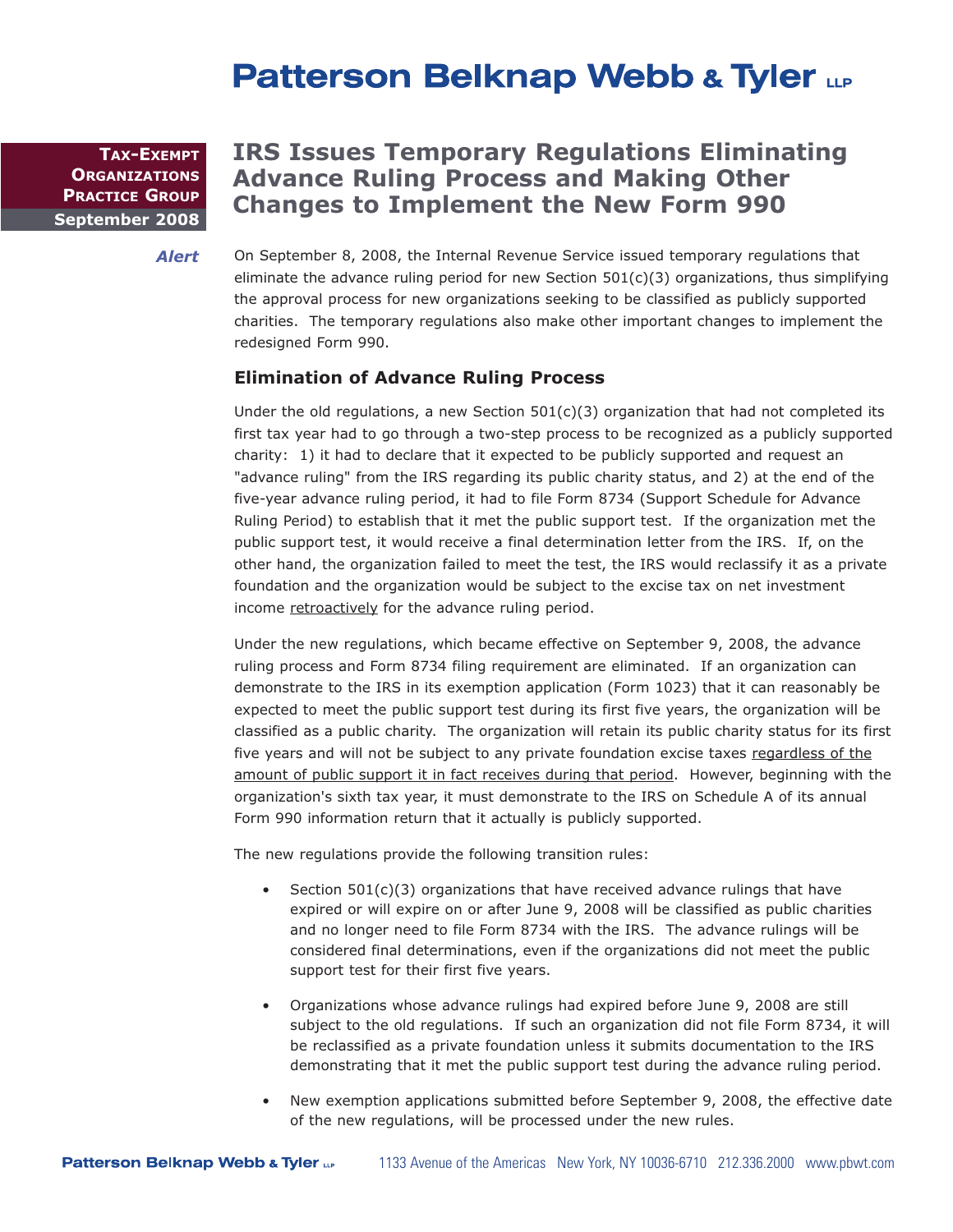# **Patterson Belknap Webb & Tyler LLP**

**September 2008 TAX-EXEMPT ORGANIZATIONS PRACTICE GROUP**

## **IRS Issues Temporary Regulations Eliminating Advance Ruling Process and Making Other Changes to Implement the New Form 990**

*Alert*

On September 8, 2008, the Internal Revenue Service issued temporary regulations that eliminate the advance ruling period for new Section  $501(c)(3)$  organizations, thus simplifying the approval process for new organizations seeking to be classified as publicly supported charities. The temporary regulations also make other important changes to implement the redesigned Form 990.

#### **Elimination of Advance Ruling Process**

Under the old regulations, a new Section  $501(c)(3)$  organization that had not completed its first tax year had to go through a two-step process to be recognized as a publicly supported charity: 1) it had to declare that it expected to be publicly supported and request an "advance ruling" from the IRS regarding its public charity status, and 2) at the end of the five-year advance ruling period, it had to file Form 8734 (Support Schedule for Advance Ruling Period) to establish that it met the public support test. If the organization met the public support test, it would receive a final determination letter from the IRS. If, on the other hand, the organization failed to meet the test, the IRS would reclassify it as a private foundation and the organization would be subject to the excise tax on net investment income retroactively for the advance ruling period.

Under the new regulations, which became effective on September 9, 2008, the advance ruling process and Form 8734 filing requirement are eliminated. If an organization can demonstrate to the IRS in its exemption application (Form 1023) that it can reasonably be expected to meet the public support test during its first five years, the organization will be classified as a public charity. The organization will retain its public charity status for its first five years and will not be subject to any private foundation excise taxes regardless of the amount of public support it in fact receives during that period. However, beginning with the organization's sixth tax year, it must demonstrate to the IRS on Schedule A of its annual Form 990 information return that it actually is publicly supported.

The new regulations provide the following transition rules:

- Section 501(c)(3) organizations that have received advance rulings that have expired or will expire on or after June 9, 2008 will be classified as public charities and no longer need to file Form 8734 with the IRS. The advance rulings will be considered final determinations, even if the organizations did not meet the public support test for their first five years.
- Organizations whose advance rulings had expired before June 9, 2008 are still subject to the old regulations. If such an organization did not file Form 8734, it will be reclassified as a private foundation unless it submits documentation to the IRS demonstrating that it met the public support test during the advance ruling period.
- New exemption applications submitted before September 9, 2008, the effective date of the new regulations, will be processed under the new rules.